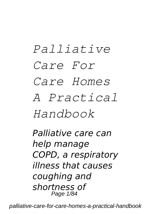# *Palliative Care For Care Homes A Practical Handbook*

*Palliative care can help manage COPD, a respiratory illness that causes coughing and shortness of* Page 1/84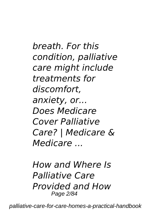*breath. For this condition, palliative care might include treatments for discomfort, anxiety, or... Does Medicare Cover Palliative Care? | Medicare & Medicare ...*

*How and Where Is Palliative Care Provided and How* Page 2/84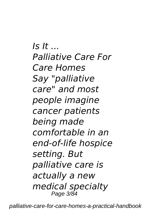*Is It ... Palliative Care For Care Homes Say "palliative care" and most people imagine cancer patients being made comfortable in an end-of-life hospice setting. But palliative care is actually a new medical specialty* Page 3/84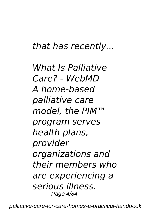#### *that has recently...*

*What Is Palliative Care? - WebMD A home-based palliative care model, the PIM™ program serves health plans, provider organizations and their members who are experiencing a serious illness.* Page 4/84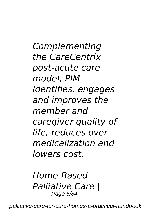*Complementing the CareCentrix post-acute care model, PIM identifies, engages and improves the member and caregiver quality of life, reduces overmedicalization and lowers cost.*

*Home-Based Palliative Care |* Page 5/84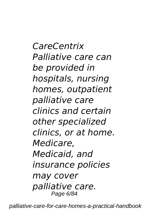*CareCentrix Palliative care can be provided in hospitals, nursing homes, outpatient palliative care clinics and certain other specialized clinics, or at home. Medicare, Medicaid, and insurance policies may cover palliative care.* Page 6/84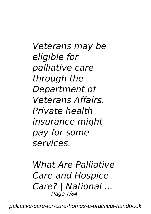*Veterans may be eligible for palliative care through the Department of Veterans Affairs. Private health insurance might pay for some services.*

*What Are Palliative Care and Hospice Care? | National ...* Page 7/84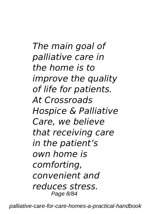*The main goal of palliative care in the home is to improve the quality of life for patients. At Crossroads Hospice & Palliative Care, we believe that receiving care in the patient's own home is comforting, convenient and reduces stress.* Page 8/84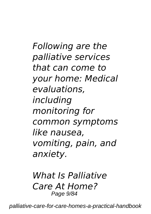*Following are the palliative services that can come to your home: Medical evaluations, including monitoring for common symptoms like nausea, vomiting, pain, and anxiety.*

*What Is Palliative Care At Home?* Page 9/84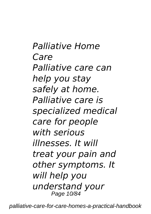*Palliative Home Care Palliative care can help you stay safely at home. Palliative care is specialized medical care for people with serious illnesses. It will treat your pain and other symptoms. It will help you understand your* Page 10/84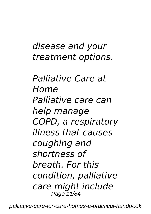### *disease and your treatment options.*

*Palliative Care at Home Palliative care can help manage COPD, a respiratory illness that causes coughing and shortness of breath. For this condition, palliative care might include* Page 11/84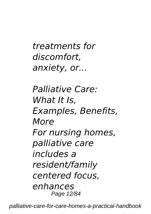*treatments for discomfort, anxiety, or...*

*Palliative Care: What It Is, Examples, Benefits, More For nursing homes, palliative care includes a resident/family centered focus, enhances* Page 12/84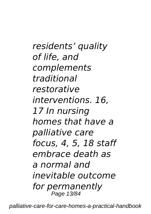*residents' quality of life, and complements traditional restorative interventions. 16, 17 In nursing homes that have a palliative care focus, 4, 5, 18 staff embrace death as a normal and inevitable outcome for permanently* Page 13/84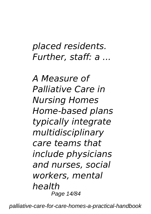## *placed residents. Further, staff: a ...*

*A Measure of Palliative Care in Nursing Homes Home-based plans typically integrate multidisciplinary care teams that include physicians and nurses, social workers, mental health* Page 14/84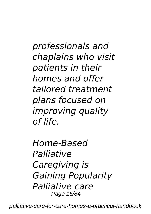*professionals and chaplains who visit patients in their homes and offer tailored treatment plans focused on improving quality of life.*

*Home-Based Palliative Caregiving is Gaining Popularity Palliative care* Page 15/84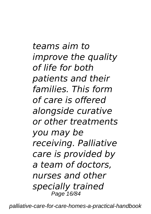*teams aim to improve the quality of life for both patients and their families. This form of care is offered alongside curative or other treatments you may be receiving. Palliative care is provided by a team of doctors, nurses and other specially trained* Page 16/84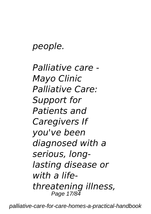*people.*

*Palliative care - Mayo Clinic Palliative Care: Support for Patients and Caregivers If you've been diagnosed with a serious, longlasting disease or with a lifethreatening illness,* Page 17/84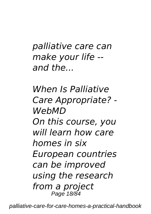*palliative care can make your life - and the...*

*When Is Palliative Care Appropriate? - WebMD On this course, you will learn how care homes in six European countries can be improved using the research from a project* Page 18/84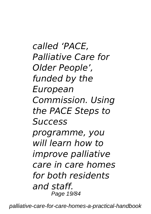*called 'PACE, Palliative Care for Older People', funded by the European Commission. Using the PACE Steps to Success programme, you will learn how to improve palliative care in care homes for both residents and staff.* Page 19/84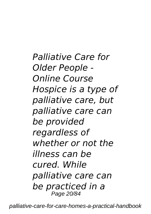*Palliative Care for Older People - Online Course Hospice is a type of palliative care, but palliative care can be provided regardless of whether or not the illness can be cured. While palliative care can be practiced in a* Page 20/84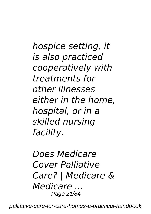*hospice setting, it is also practiced cooperatively with treatments for other illnesses either in the home, hospital, or in a skilled nursing facility.*

*Does Medicare Cover Palliative Care? | Medicare & Medicare ...* Page 21/84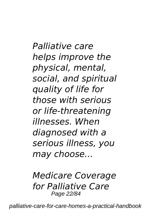*Palliative care helps improve the physical, mental, social, and spiritual quality of life for those with serious or life-threatening illnesses. When diagnosed with a serious illness, you may choose...*

*Medicare Coverage for Palliative Care* Page 22/84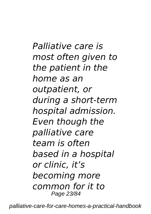*Palliative care is most often given to the patient in the home as an outpatient, or during a short-term hospital admission. Even though the palliative care team is often based in a hospital or clinic, it's becoming more common for it to* Page 23/84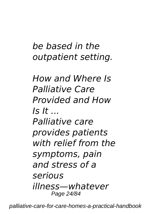## *be based in the outpatient setting.*

*How and Where Is Palliative Care Provided and How Is It ... Palliative care provides patients with relief from the symptoms, pain and stress of a serious illness—whatever* Page 24/84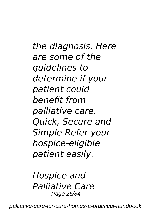*the diagnosis. Here are some of the guidelines to determine if your patient could benefit from palliative care. Quick, Secure and Simple Refer your hospice-eligible patient easily.*

*Hospice and Palliative Care* Page 25/84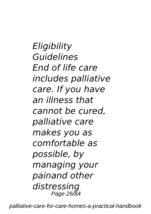*Eligibility Guidelines End of life care includes palliative care. If you have an illness that cannot be cured, palliative care makes you as comfortable as possible, by managing your painand other distressing* Page 26/84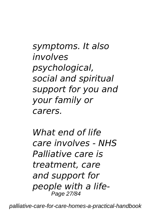*symptoms. It also involves psychological, social and spiritual support for you and your family or carers.*

*What end of life care involves - NHS Palliative care is treatment, care and support for people with a life-*Page 27/84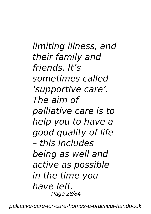*limiting illness, and their family and friends. It's sometimes called 'supportive care'. The aim of palliative care is to help you to have a good quality of life – this includes being as well and active as possible in the time you have left.* Page 28/84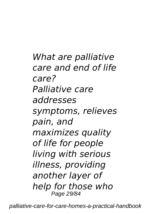*What are palliative care and end of life care? Palliative care addresses symptoms, relieves pain, and maximizes quality of life for people living with serious illness, providing another layer of help for those who* Page 29/84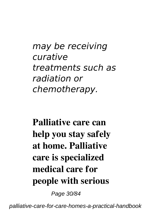*may be receiving curative treatments such as radiation or chemotherapy.*

**Palliative care can help you stay safely at home. Palliative care is specialized medical care for people with serious**

Page 30/84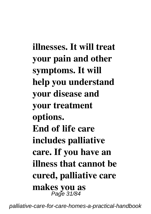**illnesses. It will treat your pain and other symptoms. It will help you understand your disease and your treatment options. End of life care includes palliative care. If you have an illness that cannot be cured, palliative care makes you as** Page 31/84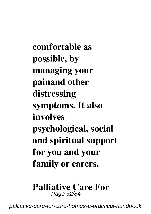**comfortable as possible, by managing your painand other distressing symptoms. It also involves psychological, social and spiritual support for you and your family or carers.**

#### **Palliative Care For** Page 32/84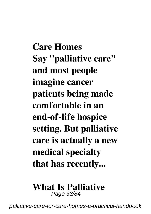**Care Homes Say "palliative care" and most people imagine cancer patients being made comfortable in an end-of-life hospice setting. But palliative care is actually a new medical specialty that has recently...**

#### **What Is Palliative** Page 33/84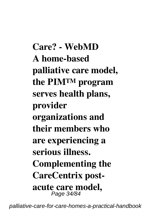**Care? - WebMD A home-based palliative care model, the PIM™ program serves health plans, provider organizations and their members who are experiencing a serious illness. Complementing the CareCentrix postacute care model,** Page 34/84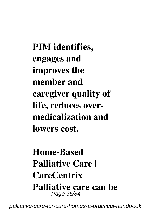**PIM identifies, engages and improves the member and caregiver quality of life, reduces overmedicalization and lowers cost.**

**Home-Based Palliative Care | CareCentrix Palliative care can be** Page 35/84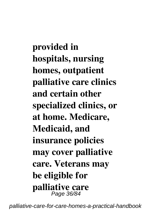**provided in hospitals, nursing homes, outpatient palliative care clinics and certain other specialized clinics, or at home. Medicare, Medicaid, and insurance policies may cover palliative care. Veterans may be eligible for palliative care** Page 36/84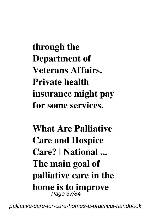**through the Department of Veterans Affairs. Private health insurance might pay for some services.**

**What Are Palliative Care and Hospice Care? | National ... The main goal of palliative care in the home is to improve** Page 37/84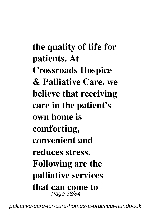**the quality of life for patients. At Crossroads Hospice & Palliative Care, we believe that receiving care in the patient's own home is comforting, convenient and reduces stress. Following are the palliative services that can come to** Page 38/84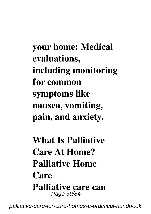**your home: Medical evaluations, including monitoring for common symptoms like nausea, vomiting, pain, and anxiety.**

**What Is Palliative Care At Home? Palliative Home Care Palliative care can** Page 39/84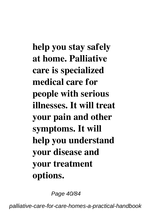**help you stay safely at home. Palliative care is specialized medical care for people with serious illnesses. It will treat your pain and other symptoms. It will help you understand your disease and your treatment options.**

Page 40/84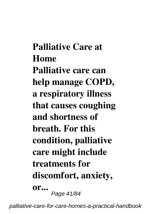**Palliative Care at Home Palliative care can help manage COPD, a respiratory illness that causes coughing and shortness of breath. For this condition, palliative care might include treatments for discomfort, anxiety, or...** Page 41/84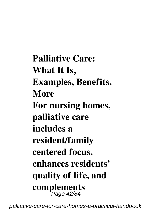**Palliative Care: What It Is, Examples, Benefits, More For nursing homes, palliative care includes a resident/family centered focus, enhances residents' quality of life, and complements** Page 42/84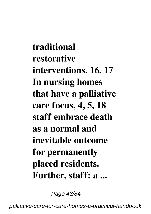**traditional restorative interventions. 16, 17 In nursing homes that have a palliative care focus, 4, 5, 18 staff embrace death as a normal and inevitable outcome for permanently placed residents. Further, staff: a ...**

Page 43/84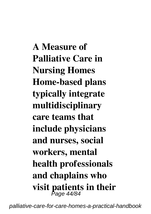**A Measure of Palliative Care in Nursing Homes Home-based plans typically integrate multidisciplinary care teams that include physicians and nurses, social workers, mental health professionals and chaplains who visit patients in their** Page 44/84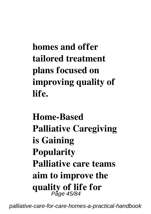**homes and offer tailored treatment plans focused on improving quality of life.**

**Home-Based Palliative Caregiving is Gaining Popularity Palliative care teams aim to improve the quality of life for** Page 45/84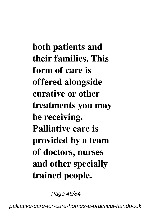**both patients and their families. This form of care is offered alongside curative or other treatments you may be receiving. Palliative care is provided by a team of doctors, nurses and other specially trained people.**

Page 46/84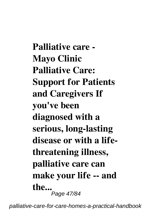**Palliative care - Mayo Clinic Palliative Care: Support for Patients and Caregivers If you've been diagnosed with a serious, long-lasting disease or with a lifethreatening illness, palliative care can make your life -- and the...** .<br>Page 47/84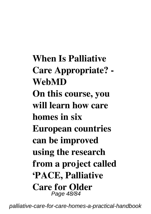**When Is Palliative Care Appropriate? - WebMD On this course, you will learn how care homes in six European countries can be improved using the research from a project called 'PACE, Palliative Care for Older** Page 48/84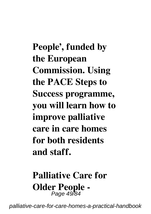**People', funded by the European Commission. Using the PACE Steps to Success programme, you will learn how to improve palliative care in care homes for both residents and staff.**

# **Palliative Care for Older People -** Page 49/84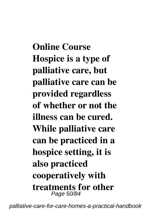**Online Course Hospice is a type of palliative care, but palliative care can be provided regardless of whether or not the illness can be cured. While palliative care can be practiced in a hospice setting, it is also practiced cooperatively with treatments for other** Page 50/84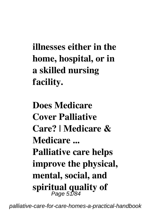**illnesses either in the home, hospital, or in a skilled nursing facility.**

**Does Medicare Cover Palliative Care? | Medicare & Medicare ... Palliative care helps improve the physical, mental, social, and spiritual quality of** Page 51/84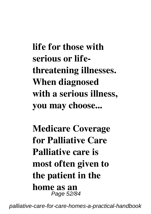**life for those with serious or lifethreatening illnesses. When diagnosed with a serious illness, you may choose...**

**Medicare Coverage for Palliative Care Palliative care is most often given to the patient in the home as an** Page 52/84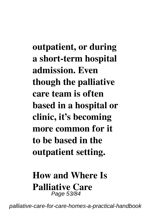**outpatient, or during a short-term hospital admission. Even though the palliative care team is often based in a hospital or clinic, it's becoming more common for it to be based in the outpatient setting.**

### **How and Where Is Palliative Care** Page 53/84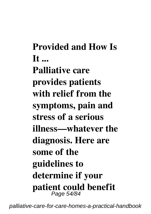**Provided and How Is It ... Palliative care provides patients with relief from the symptoms, pain and stress of a serious illness—whatever the diagnosis. Here are some of the guidelines to determine if your patient could benefit** Page 54/84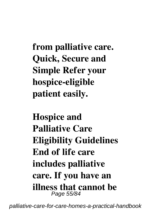**from palliative care. Quick, Secure and Simple Refer your hospice-eligible patient easily.**

**Hospice and Palliative Care Eligibility Guidelines End of life care includes palliative care. If you have an illness that cannot be** Page 55/84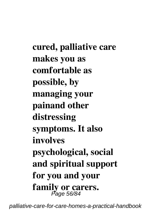**cured, palliative care makes you as comfortable as possible, by managing your painand other distressing symptoms. It also involves psychological, social and spiritual support for you and your family or carers.** Page 56/84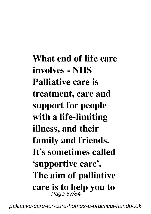**What end of life care involves - NHS Palliative care is treatment, care and support for people with a life-limiting illness, and their family and friends. It's sometimes called 'supportive care'. The aim of palliative care is to help you to** Page 57/84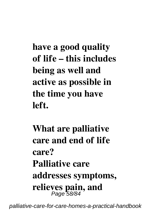**have a good quality of life – this includes being as well and active as possible in the time you have left.**

**What are palliative care and end of life care? Palliative care addresses symptoms, relieves pain, and** Page 58/84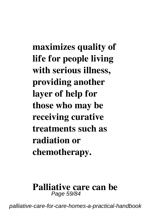**maximizes quality of life for people living with serious illness, providing another layer of help for those who may be receiving curative treatments such as radiation or chemotherapy.**

#### **Palliative care can be** Page 59/84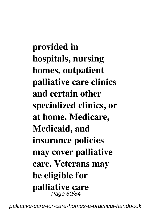**provided in hospitals, nursing homes, outpatient palliative care clinics and certain other specialized clinics, or at home. Medicare, Medicaid, and insurance policies may cover palliative care. Veterans may be eligible for palliative care** Page 60/84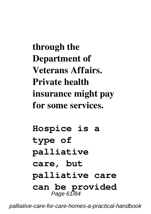**through the Department of Veterans Affairs. Private health insurance might pay for some services.**

**Hospice is a type of palliative care, but palliative care can be provided** Page 61/84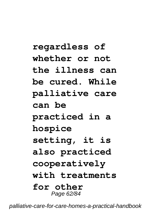## **regardless of whether or not the illness can be cured. While palliative care can be practiced in a hospice setting, it is also practiced cooperatively with treatments for other** Page 62/84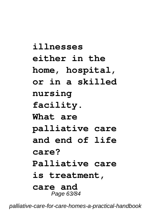**illnesses either in the home, hospital, or in a skilled nursing facility. What are palliative care and end of life care? Palliative care is treatment, care and** Page 63/84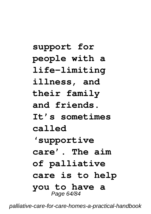**support for people with a life-limiting illness, and their family and friends. It's sometimes called 'supportive care'. The aim of palliative care is to help you to have a** Page 64/84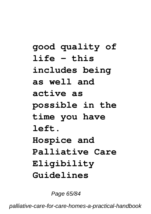**good quality of life – this includes being as well and active as possible in the time you have left. Hospice and Palliative Care Eligibility Guidelines**

Page 65/84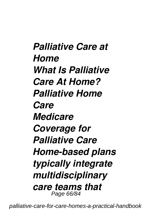*Palliative Care at Home What Is Palliative Care At Home? Palliative Home Care Medicare Coverage for Palliative Care Home-based plans typically integrate multidisciplinary care teams that* Page 66/84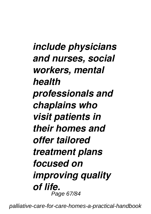*include physicians and nurses, social workers, mental health professionals and chaplains who visit patients in their homes and offer tailored treatment plans focused on improving quality of life.* Page 67/84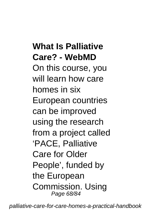### **What Is Palliative Care? - WebMD**

On this course, you will learn how care homes in six European countries can be improved using the research from a project called 'PACE, Palliative Care for Older People', funded by the European Commission. Using Page 68/84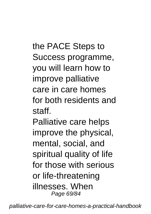the PACE Steps to Success programme, you will learn how to improve palliative care in care homes for both residents and staff.

Palliative care helps improve the physical, mental, social, and spiritual quality of life for those with serious or life-threatening illnesses. When Page 69/84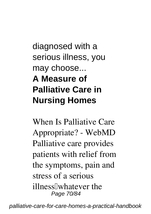diagnosed with a serious illness, you may choose... **A Measure of Palliative Care in Nursing Homes**

**When Is Palliative Care Appropriate? - WebMD** Palliative care provides patients with relief from the symptoms, pain and stress of a serious illness[whatever the Page 70/84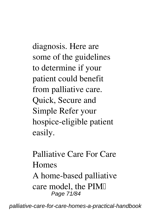diagnosis. Here are some of the guidelines to determine if your patient could benefit from palliative care. Quick, Secure and Simple Refer your hospice-eligible patient easily.

**Palliative Care For Care Homes** A home-based palliative care model, the PIM Page 71/84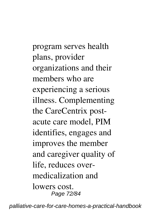program serves health plans, provider organizations and their members who are experiencing a serious illness. Complementing the CareCentrix postacute care model, PIM identifies, engages and improves the member and caregiver quality of life, reduces overmedicalization and lowers cost. Page 72/84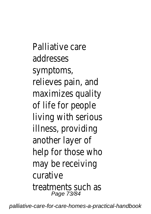Palliative care addresses symptoms, relieves pain, and maximizes quality of life for people living with serious illness, providing another layer of help for those who may be receiving curative treatments such as Page 73/84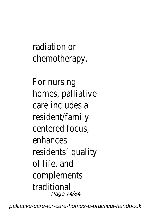radiation or chemotherapy.

For nursing homes, palliative care includes a resident/family centered focus, enhances residents' quality of life, and complements traditional Page 74/84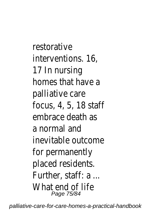restorative interventions. 16, 17 In nursing homes that have a palliative care focus, 4, 5, 18 staff embrace death as a normal and inevitable outcome for permanently placed residents. Further, staff: a ... What end of life Page 75/84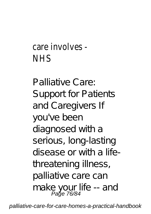## care involves - NHS

Palliative Care: Support for Patients and Caregivers If you've been diagnosed with a serious, long-lasting disease or with a lifethreatening illness, palliative care can make your life -- and Page 76/84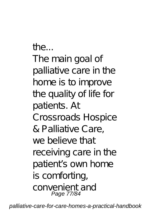th $\rho$ .... The main goal of palliative care in the home is to improve the quality of life for patients. At Crossroads Hospice & Palliative Care, we believe that receiving care in the patient's own home is comforting, convenient and Page 77/84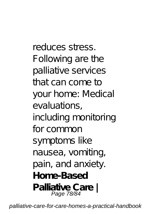reduces stress. Following are the palliative services that can come to your home: Medical evaluations, including monitoring for common symptoms like nausea, vomiting, pain, and anxiety. **Home-Based Palliative Care |** Page 78/84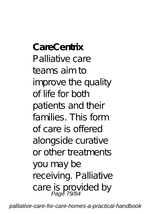**CareCentrix** Palliative care teams aim to improve the quality of life for both patients and their families. This form of care is offered alongside curative or other treatments you may be receiving. Palliative care is provided by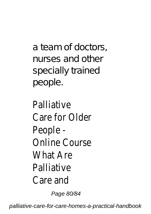a team of doctors, nurses and other specially trained people.

**Palliative** Care for Older People - Online Course What Are Palliative Care and Page 80/84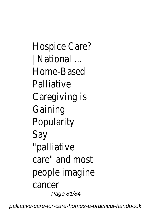Hospice Care? | National ... Home-Based **Palliative** Caregiving is Gaining **Popularity** Say "palliative care" and most people imagine cancer Page 81/84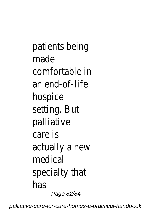patients being made comfortable in an end-of-life hospice setting. But palliative care is actually a new medical specialty that has Page 82/84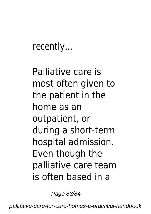recently...

Palliative care is most often given to the patient in the home as an outpatient, or during a short-term hospital admission. Even though the palliative care team is often based in a

Page 83/84